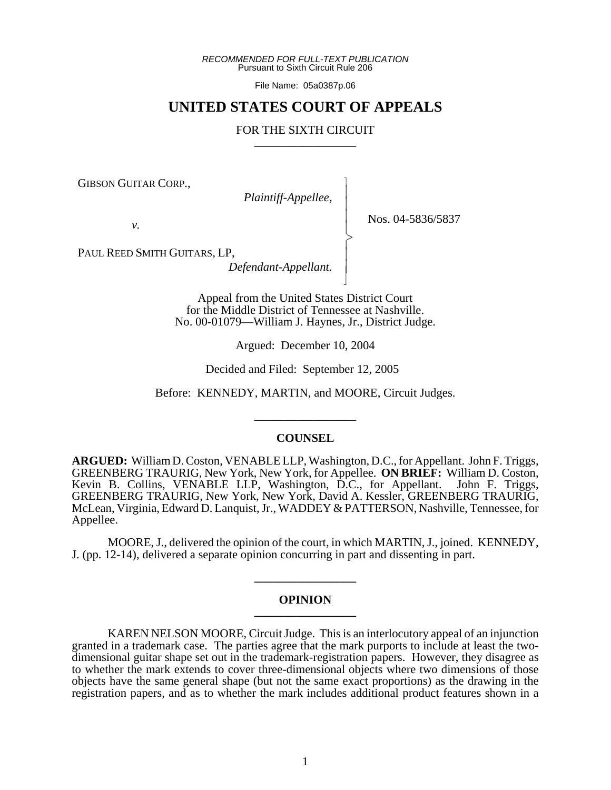*RECOMMENDED FOR FULL-TEXT PUBLICATION* Pursuant to Sixth Circuit Rule 206

File Name: 05a0387p.06

# **UNITED STATES COURT OF APPEALS**

# FOR THE SIXTH CIRCUIT

 $\overline{\phantom{a}}$ - - - -  $\succ$ |<br>|<br>| - - N

GIBSON GUITAR CORP.,

*Plaintiff-Appellee,*

Nos. 04-5836/5837

*v.*

PAUL REED SMITH GUITARS, LP,

*Defendant-Appellant.*

Appeal from the United States District Court for the Middle District of Tennessee at Nashville. No. 00-01079—William J. Haynes, Jr., District Judge.

Argued: December 10, 2004

Decided and Filed: September 12, 2005

Before: KENNEDY, MARTIN, and MOORE, Circuit Judges.

\_\_\_\_\_\_\_\_\_\_\_\_\_\_\_\_\_

### **COUNSEL**

**ARGUED:** William D. Coston, VENABLE LLP, Washington, D.C., for Appellant. John F. Triggs, GREENBERG TRAURIG, New York, New York, for Appellee. **ON BRIEF:** William D. Coston, Kevin B. Collins, VENABLE LLP, Washington, D.C., for Appellant. John F. Triggs, GREENBERG TRAURIG, New York, New York, David A. Kessler, GREENBERG TRAURIG, McLean, Virginia, Edward D. Lanquist, Jr., WADDEY & PATTERSON, Nashville, Tennessee, for Appellee.

MOORE, J., delivered the opinion of the court, in which MARTIN, J., joined. KENNEDY, J. (pp. 12-14), delivered a separate opinion concurring in part and dissenting in part.

### **OPINION \_\_\_\_\_\_\_\_\_\_\_\_\_\_\_\_\_**

**\_\_\_\_\_\_\_\_\_\_\_\_\_\_\_\_\_**

KAREN NELSON MOORE, Circuit Judge. This is an interlocutory appeal of an injunction granted in a trademark case. The parties agree that the mark purports to include at least the twodimensional guitar shape set out in the trademark-registration papers. However, they disagree as to whether the mark extends to cover three-dimensional objects where two dimensions of those objects have the same general shape (but not the same exact proportions) as the drawing in the registration papers, and as to whether the mark includes additional product features shown in a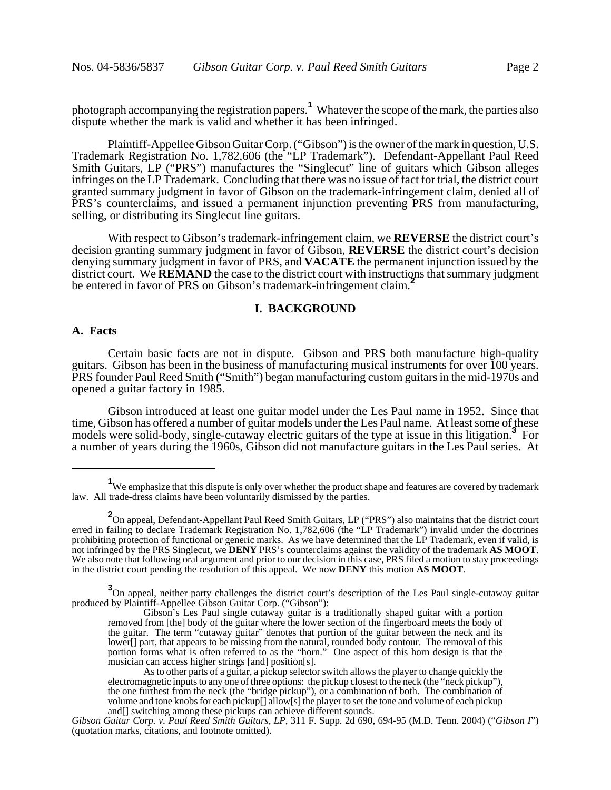photograph accompanying the registration papers.**<sup>1</sup>** Whatever the scope of the mark, the parties also dispute whether the mark is valid and whether it has been infringed.

Plaintiff-Appellee Gibson Guitar Corp. ("Gibson") is the owner of the mark in question, U.S. Trademark Registration No. 1,782,606 (the "LP Trademark"). Defendant-Appellant Paul Reed Smith Guitars, LP ("PRS") manufactures the "Singlecut" line of guitars which Gibson alleges infringes on the LP Trademark. Concluding that there was no issue of fact for trial, the district court granted summary judgment in favor of Gibson on the trademark-infringement claim, denied all of PRS's counterclaims, and issued a permanent injunction preventing PRS from manufacturing, selling, or distributing its Singlecut line guitars.

With respect to Gibson's trademark-infringement claim, we **REVERSE** the district court's decision granting summary judgment in favor of Gibson, **REVERSE** the district court's decision denying summary judgment in favor of PRS, and **VACATE** the permanent injunction issued by the district court. We **REMAND** the case to the district court with instructions that summary judgment be entered in favor of PRS on Gibson's trademark-infringement claim.<sup>2</sup>

### **I. BACKGROUND**

#### **A. Facts**

Certain basic facts are not in dispute. Gibson and PRS both manufacture high-quality guitars. Gibson has been in the business of manufacturing musical instruments for over 100 years. PRS founder Paul Reed Smith ("Smith") began manufacturing custom guitars in the mid-1970s and opened a guitar factory in 1985.

Gibson introduced at least one guitar model under the Les Paul name in 1952. Since that time, Gibson has offered a number of guitar models under the Les Paul name. At least some of these models were solid-body, single-cutaway electric guitars of the type at issue in this litigation.**<sup>3</sup>** For a number of years during the 1960s, Gibson did not manufacture guitars in the Les Paul series. At

<sup>&</sup>lt;sup>1</sup>We emphasize that this dispute is only over whether the product shape and features are covered by trademark law. All trade-dress claims have been voluntarily dismissed by the parties.

**<sup>2</sup>** On appeal, Defendant-Appellant Paul Reed Smith Guitars, LP ("PRS") also maintains that the district court erred in failing to declare Trademark Registration No. 1,782,606 (the "LP Trademark") invalid under the doctrines prohibiting protection of functional or generic marks. As we have determined that the LP Trademark, even if valid, is<br>not infringed by the PRS Singlecut, we **DENY** PRS's counterclaims against the validity of the trademark We also note that following oral argument and prior to our decision in this case, PRS filed a motion to stay proceedings in the district court pending the resolution of this appeal. We now **DENY** this motion **AS MOOT**.

<sup>&</sup>lt;sup>3</sup> On appeal, neither party challenges the district court's description of the Les Paul single-cutaway guitar produced by Plaintiff-Appellee Gibson Guitar Corp. ("Gibson"):

Gibson's Les Paul single cutaway guitar is a traditionally shaped guitar with a portion removed from [the] body of the guitar where the lower section of the fingerboard meets the body of the guitar. The term "cutaway guitar" denotes that portion of the guitar between the neck and its lower[] part, that appears to be missing from the natural, rounded body contour. The removal of this portion forms what is often referred to as the "horn." One aspect of this horn design is that the musician can access higher strings [and] position[s].

As to other parts of a guitar, a pickup selector switch allows the player to change quickly the electromagnetic inputs to any one of three options: the pickup closest to the neck (the "neck pickup"), the one furthest from the neck (the "bridge pickup"), or a combination of both. The combination of volume and tone knobs for each pickup[] allow[s] the player to set the tone and volume of each pickup and[] switching among these pickups can achieve different sounds.

*Gibson Guitar Corp. v. Paul Reed Smith Guitars, LP*, 311 F. Supp. 2d 690, 694-95 (M.D. Tenn. 2004) ("*Gibson I*") (quotation marks, citations, and footnote omitted).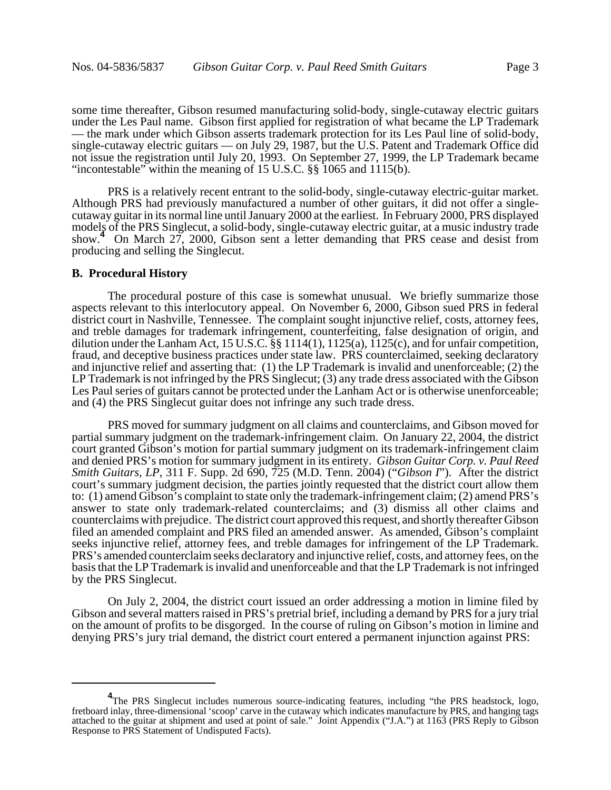some time thereafter, Gibson resumed manufacturing solid-body, single-cutaway electric guitars under the Les Paul name. Gibson first applied for registration of what became the LP Trademark — the mark under which Gibson asserts trademark protection for its Les Paul line of solid-body, single-cutaway electric guitars — on July 29, 1987, but the U.S. Patent and Trademark Office did not issue the registration until July 20, 1993. On September 27, 1999, the LP Trademark became "incontestable" within the meaning of 15 U.S.C. §§ 1065 and 1115(b).

PRS is a relatively recent entrant to the solid-body, single-cutaway electric-guitar market. Although PRS had previously manufactured a number of other guitars, it did not offer a singlecutaway guitar in its normal line until January 2000 at the earliest. In February 2000, PRS displayed models of the PRS Singlecut, a solid-body, single-cutaway electric guitar, at a music industry trade show.<sup>4</sup> On March 27, 2000, Gibson sent a letter demanding that PRS cease and desist from producing and selling the Singlecut.

#### **B. Procedural History**

The procedural posture of this case is somewhat unusual. We briefly summarize those aspects relevant to this interlocutory appeal. On November 6, 2000, Gibson sued PRS in federal district court in Nashville, Tennessee. The complaint sought injunctive relief, costs, attorney fees, and treble damages for trademark infringement, counterfeiting, false designation of origin, and dilution under the Lanham Act, 15 U.S.C. §§ 1114(1), 1125(a), 1125(c), and for unfair competition, fraud, and deceptive business practices under state law. PRS counterclaimed, seeking declaratory and injunctive relief and asserting that: (1) the LP Trademark is invalid and unenforceable; (2) the LP Trademark is not infringed by the PRS Singlecut; (3) any trade dress associated with the Gibson Les Paul series of guitars cannot be protected under the Lanham Act or is otherwise unenforceable; and (4) the PRS Singlecut guitar does not infringe any such trade dress.

PRS moved for summary judgment on all claims and counterclaims, and Gibson moved for partial summary judgment on the trademark-infringement claim. On January 22, 2004, the district court granted Gibson's motion for partial summary judgment on its trademark-infringement claim and denied PRS's motion for summary judgment in its entirety. *Gibson Guitar Corp. v. Paul Reed Smith Guitars, LP*, 311 F. Supp. 2d 690, 725 (M.D. Tenn. 2004) ("*Gibson I*"). After the district court's summary judgment decision, the parties jointly requested that the district court allow them to: (1) amend Gibson's complaint to state only the trademark-infringement claim; (2) amend PRS's answer to state only trademark-related counterclaims; and (3) dismiss all other claims and counterclaims with prejudice. The district court approved this request, and shortly thereafter Gibson filed an amended complaint and PRS filed an amended answer. As amended, Gibson's complaint seeks injunctive relief, attorney fees, and treble damages for infringement of the LP Trademark. PRS's amended counterclaim seeks declaratory and injunctive relief, costs, and attorney fees, on the basis that the LP Trademark is invalid and unenforceable and that the LP Trademark is not infringed by the PRS Singlecut.

On July 2, 2004, the district court issued an order addressing a motion in limine filed by Gibson and several matters raised in PRS's pretrial brief, including a demand by PRS for a jury trial on the amount of profits to be disgorged. In the course of ruling on Gibson's motion in limine and denying PRS's jury trial demand, the district court entered a permanent injunction against PRS:

<sup>&</sup>lt;sup>4</sup>The PRS Singlecut includes numerous source-indicating features, including "the PRS headstock, logo, fretboard inlay, three-dimensional 'scoop' carve in the cutaway which indicates manufacture by PRS, and hanging tags attached to the guitar at shipment and used at point of sale." Joint Appendix ("J.A.") at 1163 (PRS Reply to Gibson Response to PRS Statement of Undisputed Facts).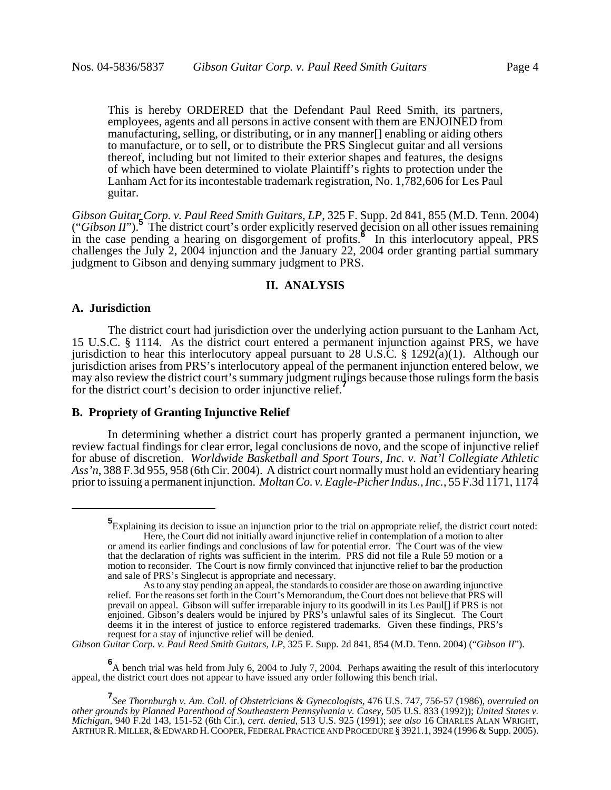This is hereby ORDERED that the Defendant Paul Reed Smith, its partners, employees, agents and all persons in active consent with them are ENJOINED from manufacturing, selling, or distributing, or in any manner[] enabling or aiding others to manufacture, or to sell, or to distribute the PRS Singlecut guitar and all versions thereof, including but not limited to their exterior shapes and features, the designs of which have been determined to violate Plaintiff's rights to protection under the Lanham Act for its incontestable trademark registration, No. 1,782,606 for Les Paul guitar.

*Gibson Guitar Corp. v. Paul Reed Smith Guitars, LP*, 325 F. Supp. 2d 841, 855 (M.D. Tenn. 2004) ("*Gibson II*").<sup>5</sup> The district court's order explicitly reserved decision on all other issues remaining ("*Gibson II*").<sup>5</sup> in the case pending a hearing on disgorgement of profits. In this interlocutory appeal, PRS challenges the July 2, 2004 injunction and the January 22, 2004 order granting partial summary judgment to Gibson and denying summary judgment to PRS.

#### **II. ANALYSIS**

### **A. Jurisdiction**

The district court had jurisdiction over the underlying action pursuant to the Lanham Act, 15 U.S.C. § 1114. As the district court entered a permanent injunction against PRS, we have jurisdiction to hear this interlocutory appeal pursuant to 28 U.S.C. § 1292(a)(1). Although our jurisdiction arises from PRS's interlocutory appeal of the permanent injunction entered below, we may also review the district court's summary judgment rulings because those rulings form the basis for the district court's decision to order injunctive relief.**<sup>7</sup>**

# **B. Propriety of Granting Injunctive Relief**

In determining whether a district court has properly granted a permanent injunction, we review factual findings for clear error, legal conclusions de novo, and the scope of injunctive relief for abuse of discretion. *Worldwide Basketball and Sport Tours, Inc. v. Nat'l Collegiate Athletic Ass'n*, 388 F.3d 955, 958 (6th Cir. 2004). A district court normally must hold an evidentiary hearing prior to issuing a permanent injunction. *Moltan Co. v. Eagle-Picher Indus., Inc.*, 55 F.3d 1171, 1174

*Gibson Guitar Corp. v. Paul Reed Smith Guitars, LP*, 325 F. Supp. 2d 841, 854 (M.D. Tenn. 2004) ("*Gibson II*").

**6** A bench trial was held from July 6, 2004 to July 7, 2004. Perhaps awaiting the result of this interlocutory appeal, the district court does not appear to have issued any order following this bench trial.

**<sup>5</sup>** Explaining its decision to issue an injunction prior to the trial on appropriate relief, the district court noted: Here, the Court did not initially award injunctive relief in contemplation of a motion to alter or amend its earlier findings and conclusions of law for potential error. The Court was of the view

that the declaration of rights was sufficient in the interim. PRS did not file a Rule 59 motion or a motion to reconsider. The Court is now firmly convinced that injunctive relief to bar the production and sale of PRS's Singlecut is appropriate and necessary.

As to any stay pending an appeal, the standards to consider are those on awarding injunctive relief. For the reasons set forth in the Court's Memorandum, the Court does not believe that PRS will prevail on appeal. Gibson will suffer irreparable injury to its goodwill in its Les Paul[] if PRS is not enjoined. Gibson's dealers would be injured by PRS's unlawful sales of its Singlecut. The Court deems it in the interest of justice to enforce registered trademarks. Given these findings, PRS's request for a stay of injunctive relief will be denied.

**<sup>7</sup>** *See Thornburgh v. Am. Coll. of Obstetricians & Gynecologists*, 476 U.S. 747, 756-57 (1986), *overruled on other grounds by Planned Parenthood of Southeastern Pennsylvania v. Casey*, 505 U.S. 833 (1992)); *United States v.* ARTHUR R. MILLER, & EDWARD H. COOPER, FEDERAL PRACTICE AND PROCEDURE § 3921.1, 3924 (1996 & Supp. 2005).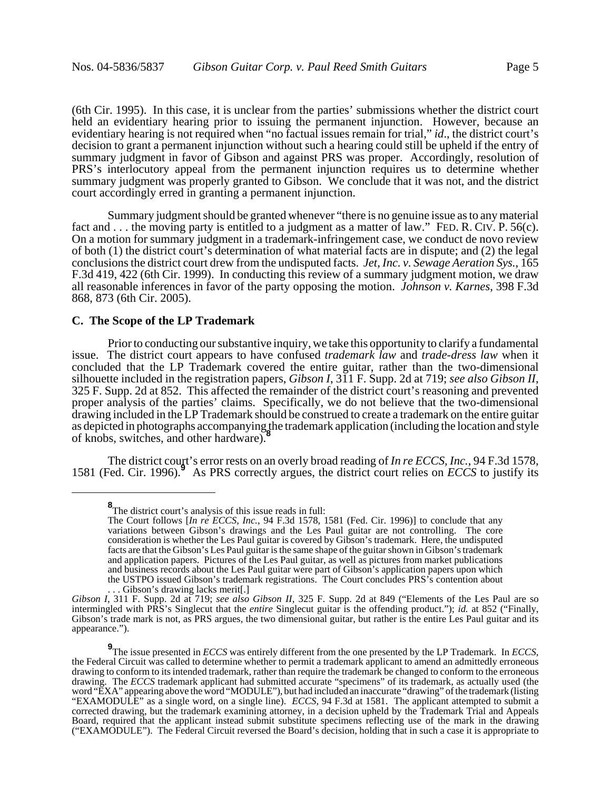(6th Cir. 1995). In this case, it is unclear from the parties' submissions whether the district court held an evidentiary hearing prior to issuing the permanent injunction. However, because an evidentiary hearing is not required when "no factual issues remain for trial," *id*., the district court's decision to grant a permanent injunction without such a hearing could still be upheld if the entry of summary judgment in favor of Gibson and against PRS was proper. Accordingly, resolution of PRS's interlocutory appeal from the permanent injunction requires us to determine whether summary judgment was properly granted to Gibson. We conclude that it was not, and the district court accordingly erred in granting a permanent injunction.

Summary judgment should be granted whenever "there is no genuine issue as to any material fact and . . . the moving party is entitled to a judgment as a matter of law." FED. R. CIV. P. 56(c). On a motion for summary judgment in a trademark-infringement case, we conduct de novo review of both (1) the district court's determination of what material facts are in dispute; and (2) the legal conclusions the district court drew from the undisputed facts. *Jet, Inc. v. Sewage Aeration Sys.*, 165 F.3d 419, 422 (6th Cir. 1999). In conducting this review of a summary judgment motion, we draw all reasonable inferences in favor of the party opposing the motion. *Johnson v. Karnes*, 398 F.3d 868, 873 (6th Cir. 2005).

# **C. The Scope of the LP Trademark**

Prior to conducting our substantive inquiry, we take this opportunity to clarify a fundamental issue. The district court appears to have confused *trademark law* and *trade-dress law* when it concluded that the LP Trademark covered the entire guitar, rather than the two-dimensional silhouette included in the registration papers, *Gibson I*, 311 F. Supp. 2d at 719; *see also Gibson II*, 325 F. Supp. 2d at 852. This affected the remainder of the district court's reasoning and prevented proper analysis of the parties' claims. Specifically, we do not believe that the two-dimensional drawing included in the LP Trademark should be construed to create a trademark on the entire guitar as depicted in photographs accompanying the trademark application (including the location and style of knobs, switches, and other hardware).**<sup>8</sup>**

The district court's error rests on an overly broad reading of *In re ECCS, Inc.*, 94 F.3d 1578, 1581 (Fed. Cir. 1996).**<sup>9</sup>** As PRS correctly argues, the district court relies on *ECCS* to justify its

**<sup>8</sup>** The district court's analysis of this issue reads in full:

The Court follows [*In re ECCS, Inc.*, 94 F.3d 1578, 1581 (Fed. Cir. 1996)] to conclude that any variations between Gibson's drawings and the Les Paul guitar are not controlling. The core consideration is whether the Les Paul guitar is covered by Gibson's trademark. Here, the undisputed facts are that the Gibson's Les Paul guitar is the same shape of the guitar shown in Gibson's trademark and application papers. Pictures of the Les Paul guitar, as well as pictures from market publications and business records about the Les Paul guitar were part of Gibson's application papers upon which the USTPO issued Gibson's trademark registrations. The Court concludes PRS's contention about .. Gibson's drawing lacks merit.

*Gibson I*, 311 F. Supp. 2d at 719; *see also Gibson II*, 325 F. Supp. 2d at 849 ("Elements of the Les Paul are so intermingled with PRS's Singlecut that the *entire* Singlecut guitar is the offending product."); *id.* at 852 ("Finally, Gibson's trade mark is not, as PRS argues, the two dimensional guitar, but rather is the entire Les Paul guitar and its appearance.").

 $\frac{9}{2}$ The issue presented in *ECCS* was entirely different from the one presented by the LP Trademark. In *ECCS*, the Federal Circuit was called to determine whether to permit a trademark applicant to amend an admitted drawing to conform to its intended trademark, rather than require the trademark be changed to conform to the erroneous drawing. The *ECCS* trademark applicant had submitted accurate "specimens" of its trademark, as actually used (the word "EXA" appearing above the word "MODULE"), but had included an inaccurate "drawing" of the trademark (listing "EXAMODULE" as a single word, on a single line). *ECCS*, 94 F.3d at 1581. The applicant attempted to submit a corrected drawing, but the trademark examining attorney, in a decision upheld by the Trademark Trial and Appeals Board, required that the applicant instead submit substitute specimens reflecting use of the mark in the drawing ("EXAMODULE"). The Federal Circuit reversed the Board's decision, holding that in such a case it is appropriate to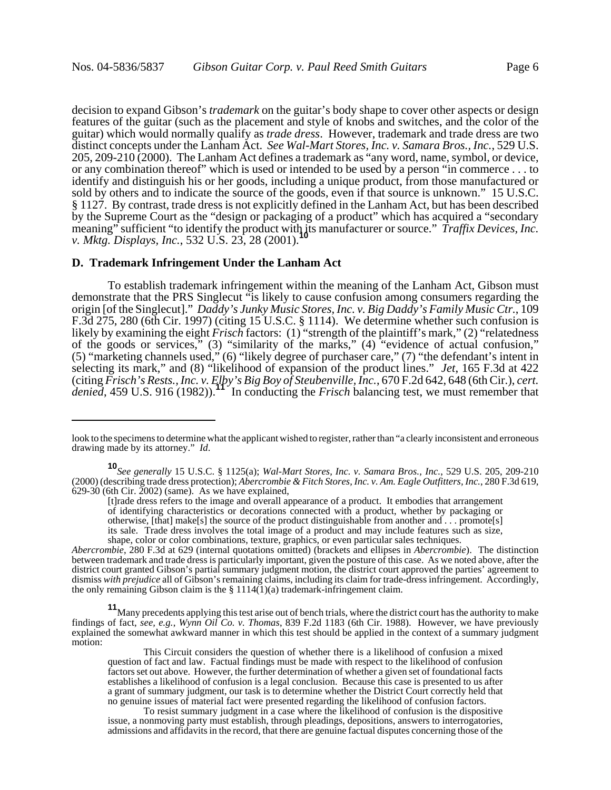decision to expand Gibson's *trademark* on the guitar's body shape to cover other aspects or design features of the guitar (such as the placement and style of knobs and switches, and the color of the guitar) which would normally qualify as *trade dress*. However, trademark and trade dress are two distinct concepts under the Lanham Act. *See Wal-Mart Stores, Inc. v. Samara Bros., Inc.*, 529 U.S. 205, 209-210 (2000). The Lanham Act defines a trademark as "any word, name, symbol, or device, or any combination thereof" which is used or intended to be used by a person "in commerce . . . to identify and distinguish his or her goods, including a unique product, from those manufactured or sold by others and to indicate the source of the goods, even if that source is unknown." 15 U.S.C. § 1127. By contrast, trade dress is not explicitly defined in the Lanham Act, but has been described by the Supreme Court as the "design or packaging of a product" which has acquired a "secondary meaning" sufficient "to identify the product with its manufacturer or source." *Traffix Devices, Inc. v. Mktg. Displays, Inc., 532 U.S. 23, 28 (2001).* 

#### **D. Trademark Infringement Under the Lanham Act**

To establish trademark infringement within the meaning of the Lanham Act, Gibson must demonstrate that the PRS Singlecut "is likely to cause confusion among consumers regarding the origin [of the Singlecut]." *Daddy's Junky Music Stores, Inc. v. Big Daddy's Family Music Ctr.*, 109 F.3d 275, 280 (6th Cir. 1997) (citing 15 U.S.C. § 1114). We determine whether such confusion is likely by examining the eight *Frisch* factors: (1) "strength of the plaintiff's mark," (2) "relatedness" of the goods or services," (3) "similarity of the marks," (4) "evidence of actual confusion," (5) "marketing channels used," (6) "likely degree of purchaser care," (7) "the defendant's intent in selecting its mark," and (8) "likelihood of expansion of the product lines." *Jet*, 165 F.3d at 422 (citing *Frisch's Rests., Inc. v. Elby's Big Boy of Steubenville, Inc.*, 670 F.2d 642, 648 (6th Cir.), *cert. denied*, 459 U.S. 916 (1982)).**<sup>11</sup>** In conducting the *Frisch* balancing test, we must remember that

*Abercrombie*, 280 F.3d at 629 (internal quotations omitted) (brackets and ellipses in *Abercrombie*). The distinction between trademark and trade dress is particularly important, given the posture of this case. As we noted above, after the district court granted Gibson's partial summary judgment motion, the district court approved the parties' agreement to dismiss *with prejudice* all of Gibson's remaining claims, including its claim for trade-dress infringement. Accordingly, the only remaining Gibson claim is the  $\S 1114(1)(a)$  trademark-infringement claim.

**11**Many precedents applying this test arise out of bench trials, where the district court has the authority to make findings of fact, *see, e.g.*, *Wynn Oil Co. v. Thomas*, 839 F.2d 1183 (6th Cir. 1988). However, we have previously explained the somewhat awkward manner in which this test should be applied in the context of a summary judgment motion:

This Circuit considers the question of whether there is a likelihood of confusion a mixed question of fact and law. Factual findings must be made with respect to the likelihood of confusion factors set out above. However, the further determination of whether a given set of foundational facts establishes a likelihood of confusion is a legal conclusion. Because this case is presented to us after a grant of summary judgment, our task is to determine whether the District Court correctly held that no genuine issues of material fact were presented regarding the likelihood of confusion factors.

To resist summary judgment in a case where the likelihood of confusion is the dispositive issue, a nonmoving party must establish, through pleadings, depositions, answers to interrogatories, admissions and affidavits in the record, that there are genuine factual disputes concerning those of the

look to the specimens to determine what the applicant wished to register, rather than "a clearly inconsistent and erroneous drawing made by its attorney." *Id*.

**<sup>10</sup>***See generally* 15 U.S.C. § 1125(a); *Wal-Mart Stores, Inc. v. Samara Bros., Inc.*, 529 U.S. 205, 209-210 (2000) (describing trade dress protection); *Abercrombie & Fitch Stores, Inc. v. Am. Eagle Outfitters, Inc.*, 280 F.3d 619,  $629-30$  (6th Cir. 2002) (same). As we have explained,

<sup>[</sup>t]rade dress refers to the image and overall appearance of a product. It embodies that arrangement of identifying characteristics or decorations connected with a product, whether by packaging or otherwise, [that] make[s] the source of the product distinguishable from another and . . . promote[s] its sale. Trade dress involves the total image of a product and may include features such as size, shape, color or color combinations, texture, graphics, or even particular sales techniques.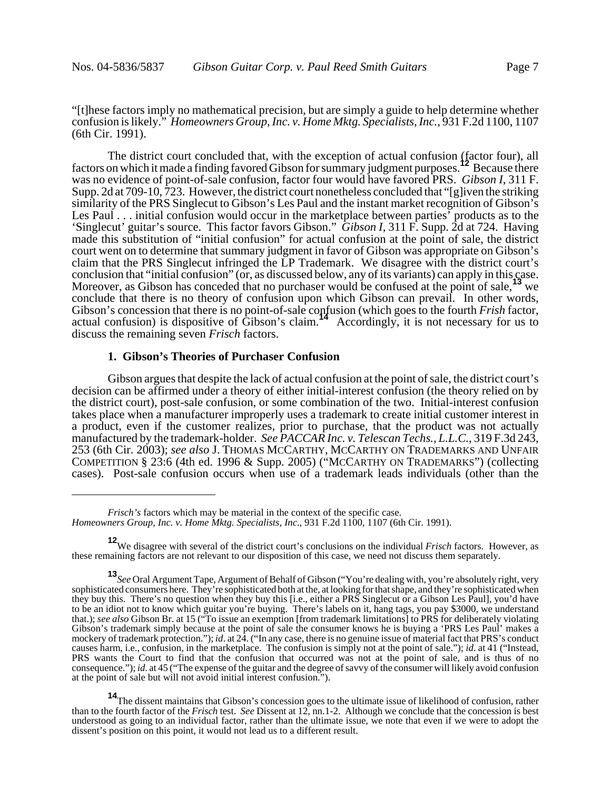"[t]hese factors imply no mathematical precision, but are simply a guide to help determine whether confusion is likely." *Homeowners Group, Inc. v. Home Mktg. Specialists, Inc.*, 931 F.2d 1100, 1107 (6th Cir. 1991).

The district court concluded that, with the exception of actual confusion (factor four), all factors on which it made a finding favored Gibson for summary judgment purposes.**12** Because there was no evidence of point-of-sale confusion, factor four would have favored PRS. *Gibson I*, 311 F. Supp. 2d at 709-10, 723. However, the district court nonetheless concluded that "[g]iven the striking similarity of the PRS Singlecut to Gibson's Les Paul and the instant market recognition of Gibson's Les Paul . . . initial confusion would occur in the marketplace between parties<sup>7</sup> products as to the 'Singlecut' guitar's source. This factor favors Gibson." *Gibson I*, 311 F. Supp. 2d at 724. Having made this substitution of "initial confusion" for actual confusion at the point of sale, the district court went on to determine that summary judgment in favor of Gibson was appropriate on Gibson's claim that the PRS Singlecut infringed the LP Trademark. We disagree with the district court's conclusion that "initial confusion" (or, as discussed below, any of its variants) can apply in this case. Moreover, as Gibson has conceded that no purchaser would be confused at the point of sale,<sup>13</sup> we conclude that there is no theory of confusion upon which Gibson can prevail. In other words, Gibson's concession that there is no point-of-sale confusion (which goes to the fourth *Frish* factor, actual confusion) is dispositive of Gibson's claim.**<sup>14</sup>** Accordingly, it is not necessary for us to discuss the remaining seven *Frisch* factors.

# **1. Gibson's Theories of Purchaser Confusion**

Gibson argues that despite the lack of actual confusion at the point of sale, the district court's decision can be affirmed under a theory of either initial-interest confusion (the theory relied on by the district court), post-sale confusion, or some combination of the two. Initial-interest confusion takes place when a manufacturer improperly uses a trademark to create initial customer interest in a product, even if the customer realizes, prior to purchase, that the product was not actually manufactured by the trademark-holder. *See PACCAR Inc. v. Telescan Techs., L.L.C.*, 319 F.3d 243, 253 (6th Cir. 2003); *see also* J. THOMAS MCCARTHY, MCCARTHY ON TRADEMARKS AND UNFAIR COMPETITION § 23:6 (4th ed. 1996 & Supp. 2005) ("MCCARTHY ON TRADEMARKS") (collecting cases). Post-sale confusion occurs when use of a trademark leads individuals (other than the

*Frisch's* factors which may be material in the context of the specific case. *Homeowners Group, Inc. v. Home Mktg. Specialists, Inc.*, 931 F.2d 1100, 1107 (6th Cir. 1991).

**<sup>12</sup>**We disagree with several of the district court's conclusions on the individual *Frisch* factors. However, as these remaining factors are not relevant to our disposition of this case, we need not discuss them separately.

**<sup>13</sup>***See* Oral Argument Tape, Argument of Behalf of Gibson ("You're dealing with, you're absolutely right, very sophisticated consumers here. They're sophisticated both at the, at looking for that shape, and they're sophisticated when they buy this. There's no question when they buy this [i.e., either a PRS Singlecut or a Gibson Les Paul], you'd have to be an idiot not to know which guitar you're buying. There's labels on it, hang tags, you pay \$3000, we understand that.); *see also* Gibson Br. at 15 ("To issue an exemption [from trademark limitations] to PRS for deliberately violating Gibson's trademark simply because at the point of sale the consumer knows he is buying a 'PRS Les Paul' makes a mockery of trademark protection."); *id*. at 24. ("In any case, there is no genuine issue of material fact that PRS's conduct causes harm, i.e., confusion, in the marketplace. The confusion is simply not at the point of sale."); *id*. at 41 ("Instead, PRS wants the Court to find that the confusion that occurred was not at the point of sale, and is thus of no consequence."); *id*. at 45 ("The expense of the guitar and the degree of savvy of the consumer will likely avoid confusion at the point of sale but will not avoid initial interest confusion.").

**<sup>14</sup>**The dissent maintains that Gibson's concession goes to the ultimate issue of likelihood of confusion, rather than to the fourth factor of the *Frisch* test. *See* Dissent at 12, nn.1-2. Although we conclude that the concession is best understood as going to an individual factor, rather than the ultimate issue, we note that even if we were to adopt the dissent's position on this point, it would not lead us to a different result.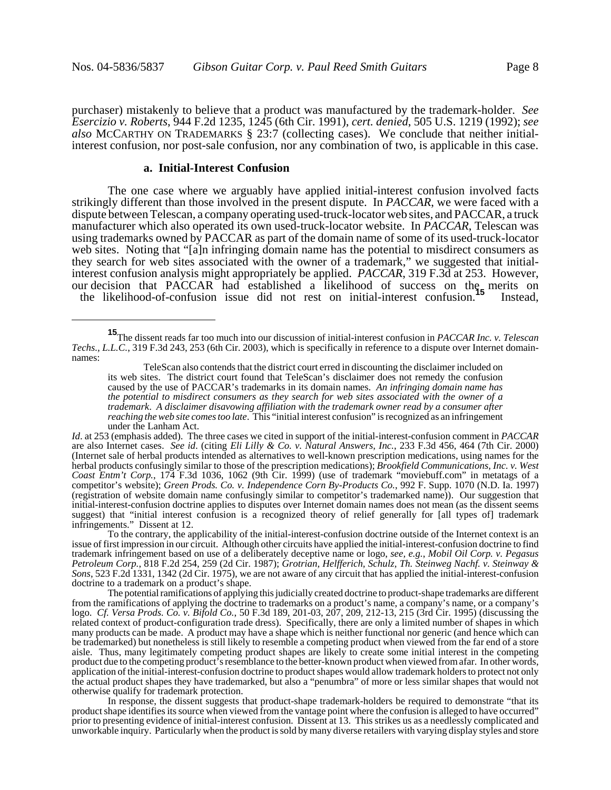purchaser) mistakenly to believe that a product was manufactured by the trademark-holder. *See Esercizio v. Roberts*, 944 F.2d 1235, 1245 (6th Cir. 1991), *cert. denied*, 505 U.S. 1219 (1992); *see also* MCCARTHY ON TRADEMARKS § 23:7 (collecting cases). We conclude that neither initialinterest confusion, nor post-sale confusion, nor any combination of two, is applicable in this case.

#### **a. Initial-Interest Confusion**

The one case where we arguably have applied initial-interest confusion involved facts strikingly different than those involved in the present dispute. In *PACCAR*, we were faced with a dispute between Telescan, a company operating used-truck-locator web sites, and PACCAR, a truck manufacturer which also operated its own used-truck-locator website. In *PACCAR*, Telescan was using trademarks owned by PACCAR as part of the domain name of some of its used-truck-locator web sites. Noting that "[a]n infringing domain name has the potential to misdirect consumers as they search for web sites associated with the owner of a trademark," we suggested that initialinterest confusion analysis might appropriately be applied. *PACCAR*, 319 F.3d at 253. However, our decision that PACCAR had established a likelihood of success on the merits on the likelihood-of-confusion issue did not rest on initial-interest confusion.**<sup>15</sup>** Instead,

**<sup>15</sup>**The dissent reads far too much into our discussion of initial-interest confusion in *PACCAR Inc. v. Telescan Techs., L.L.C.*, 319 F.3d 243, 253 (6th Cir. 2003), which is specifically in reference to a dispute over Internet domainnames:

TeleScan also contends that the district court erred in discounting the disclaimer included on its web sites. The district court found that TeleScan's disclaimer does not remedy the confusion caused by the use of PACCAR's trademarks in its domain names. *An infringing domain name has the potential to misdirect consumers as they search for web sites associated with the owner of a trademark*. *A disclaimer disavowing affiliation with the trademark owner read by a consumer after reaching the web site comes too late*. This "initial interest confusion" is recognized as an infringement under the Lanham Act.

*Id*. at 253 (emphasis added). The three cases we cited in support of the initial-interest-confusion comment in *PACCAR* are also Internet cases. *See id*. (citing *Eli Lilly & Co. v. Natural Answers, Inc.*, 233 F.3d 456, 464 (7th Cir. 2000) (Internet sale of herbal products intended as alternatives to well-known prescription medications, using names for the herbal products confusingly similar to those of the prescription medications); *Brookfield Communications, Inc. v. West Coast Entm't Corp.*, 174 F.3d 1036, 1062 (9th Cir. 1999) (use of trademark "moviebuff.com" in metatags of a competitor's website); *Green Prods. Co. v. Independence Corn By-Products Co.*, 992 F. Supp. 1070 (N.D. Ia. 1997) (registration of website domain name confusingly similar to competitor's trademarked name)). Our suggestion that initial-interest-confusion doctrine applies to disputes over Internet domain names does not mean (as the dissent seems suggest) that "initial interest confusion is a recognized theory of relief generally for [all types of] trademark infringements." Dissent at 12.

To the contrary, the applicability of the initial-interest-confusion doctrine outside of the Internet context is an issue of first impression in our circuit. Although other circuits have applied the initial-interest-confusion doctrine to find trademark infringement based on use of a deliberately deceptive name or logo, *see, e.g.*, *Mobil Oil Corp. v. Pegasus Petroleum Corp.*, 818 F.2d 254, 259 (2d Cir. 1987); *Grotrian, Helfferich, Schulz, Th. Steinweg Nachf. v. Steinway & Sons*, 523 F.2d 1331, 1342 (2d Cir. 1975), we are not aware of any circuit that has applied the initial-interest-confusion doctrine to a trademark on a product's shape.

The potential ramifications of applying this judicially created doctrine to product-shape trademarks are different from the ramifications of applying the doctrine to trademarks on a product's name, a company's name, or a company's logo. *Cf. Versa Prods. Co. v. Bifold Co.*, 50 F.3d 189, 201-03, 207, 209, 212-13, 215 (3rd Cir. 1995) (discussing the related context of product-configuration trade dress). Specifically, there are only a limited number of shapes in which many products can be made. A product may have a shape which is neither functional nor generic (and hence which can be trademarked) but nonetheless is still likely to resemble a competing product when viewed from the far end of a store aisle. Thus, many legitimately competing product shapes are likely to create some initial interest in the competing product due to the competing product's resemblance to the better-known product when viewed from afar. In other words, application of the initial-interest-confusion doctrine to product shapes would allow trademark holders to protect not only the actual product shapes they have trademarked, but also a "penumbra" of more or less similar shapes that would not otherwise qualify for trademark protection.

In response, the dissent suggests that product-shape trademark-holders be required to demonstrate "that its product shape identifies its source when viewed from the vantage point where the confusion is alleged to have occurred" prior to presenting evidence of initial-interest confusion. Dissent at 13. This strikes us as a needlessly complicated and unworkable inquiry. Particularly when the product is sold by many diverse retailers with varying display styles and store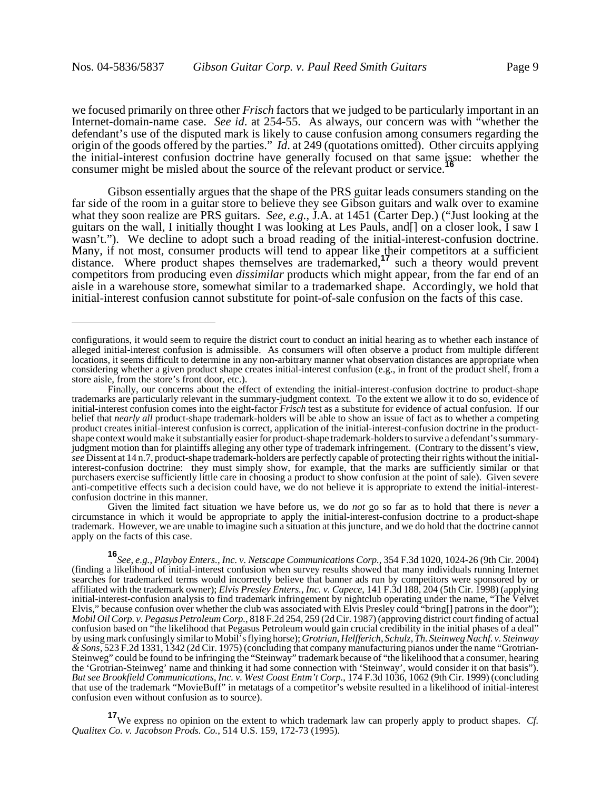we focused primarily on three other *Frisch* factors that we judged to be particularly important in an Internet-domain-name case. *See id*. at 254-55. As always, our concern was with "whether the defendant's use of the disputed mark is likely to cause confusion among consumers regarding the origin of the goods offered by the parties." *Id*. at 249 (quotations omitted). Other circuits applying the initial-interest confusion doctrine have generally focused on that same issue: whether the consumer might be misled about the source of the relevant product or service.**<sup>16</sup>**

Gibson essentially argues that the shape of the PRS guitar leads consumers standing on the far side of the room in a guitar store to believe they see Gibson guitars and walk over to examine what they soon realize are PRS guitars. *See, e.g.*, J.A. at 1451 (Carter Dep.) ("Just looking at the guitars on the wall, I initially thought I was looking at Les Pauls, and[] on a closer look, I saw I wasn't."). We decline to adopt such a broad reading of the initial-interest-confusion doctrine. Many, if not most, consumer products will tend to appear like their competitors at a sufficient distance. Where product shapes themselves are trademarked,**17** such a theory would prevent competitors from producing even *dissimilar* products which might appear, from the far end of an aisle in a warehouse store, somewhat similar to a trademarked shape. Accordingly, we hold that initial-interest confusion cannot substitute for point-of-sale confusion on the facts of this case.

Given the limited fact situation we have before us, we do *not* go so far as to hold that there is *never* a circumstance in which it would be appropriate to apply the initial-interest-confusion doctrine to a product-shape trademark. However, we are unable to imagine such a situation at this juncture, and we do hold that the doctrine cannot apply on the facts of this case.

**<sup>17</sup>**We express no opinion on the extent to which trademark law can properly apply to product shapes. *Cf. Qualitex Co. v. Jacobson Prods. Co.*, 514 U.S. 159, 172-73 (1995).

configurations, it would seem to require the district court to conduct an initial hearing as to whether each instance of alleged initial-interest confusion is admissible. As consumers will often observe a product from multiple different locations, it seems difficult to determine in any non-arbitrary manner what observation distances are appropriate when considering whether a given product shape creates initial-interest confusion (e.g., in front of the product shelf, from a store aisle, from the store's front door, etc.).

Finally, our concerns about the effect of extending the initial-interest-confusion doctrine to product-shape trademarks are particularly relevant in the summary-judgment context. To the extent we allow it to do so, evidence of initial-interest confusion comes into the eight-factor *Frisch* test as a substitute for evidence of actual confusion. If our belief that *nearly all* product-shape trademark-holders will be able to show an issue of fact as to whether a competing product creates initial-interest confusion is correct, application of the initial-interest-confusion doctrine in the productshape context would make it substantially easier for product-shape trademark-holders to survive a defendant's summaryjudgment motion than for plaintiffs alleging any other type of trademark infringement. (Contrary to the dissent's view, *see* Dissent at 14 n.7, product-shape trademark-holders are perfectly capable of protecting their rights without the initialinterest-confusion doctrine: they must simply show, for example, that the marks are sufficiently similar or that purchasers exercise sufficiently little care in choosing a product to show confusion at the point of sale). Given severe anti-competitive effects such a decision could have, we do not believe it is appropriate to extend the initial-interestconfusion doctrine in this manner.

**<sup>16</sup>***See, e.g.*, *Playboy Enters., Inc. v. Netscape Communications Corp.*, 354 F.3d 1020, 1024-26 (9th Cir. 2004) (finding a likelihood of initial-interest confusion when survey results showed that many individuals running Internet searches for trademarked terms would incorrectly believe that banner ads run by competitors were sponsored by or affiliated with the trademark owner); *Elvis Presley Enters., Inc. v. Capece*, 141 F.3d 188, 204 (5th Cir. 1998) (applying initial-interest-confusion analysis to find trademark infringement by nightclub operating under the name, "The Velvet Elvis," because confusion over whether the club was associated with Elvis Presley could "bring[] patrons in the door"); *Mobil Oil Corp. v. Pegasus Petroleum Corp.*, 818 F.2d 254, 259 (2d Cir. 1987) (approving district court finding of actual confusion based on "the likelihood that Pegasus Petroleum would gain crucial credibility in the initial phases of a deal" by using mark confusingly similar to Mobil's flying horse); *Grotrian, Helfferich, Schulz, Th. Steinweg Nachf. v. Steinway & Sons*, 523 F.2d 1331, 1342 (2d Cir. 1975) (concluding that company manufacturing pianos under the name "Grotrian-Steinweg" could be found to be infringing the "Steinway" trademark because of "the likelihood that a consumer, hearing the 'Grotrian-Steinweg' name and thinking it had some connection with 'Steinway', would consider it on that basis"). *But see Brookfield Communications, Inc. v. West Coast Entm't Corp.*, 174 F.3d 1036, 1062 (9th Cir. 1999) (concluding that use of the trademark "MovieBuff" in metatags of a competitor's website resulted in a likelihood of initial-interest confusion even without confusion as to source).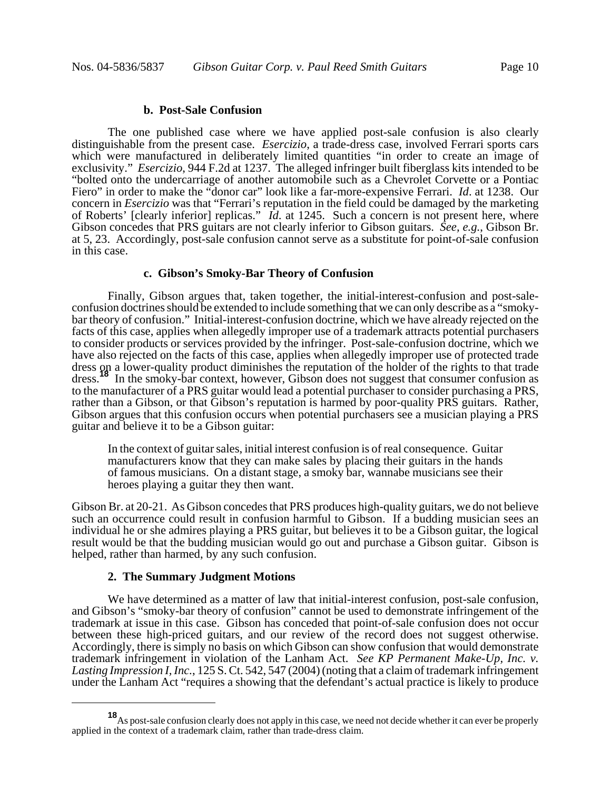### **b. Post-Sale Confusion**

The one published case where we have applied post-sale confusion is also clearly distinguishable from the present case. *Esercizio*, a trade-dress case, involved Ferrari sports cars which were manufactured in deliberately limited quantities "in order to create an image of exclusivity." *Esercizio*, 944 F.2d at 1237. The alleged infringer built fiberglass kits intended to be "bolted onto the undercarriage of another automobile such as a Chevrolet Corvette or a Pontiac Fiero" in order to make the "donor car" look like a far-more-expensive Ferrari. *Id*. at 1238. Our concern in *Esercizio* was that "Ferrari's reputation in the field could be damaged by the marketing of Roberts' [clearly inferior] replicas." *Id*. at 1245. Such a concern is not present here, where Gibson concedes that PRS guitars are not clearly inferior to Gibson guitars. *See, e.g.*, Gibson Br. at 5, 23. Accordingly, post-sale confusion cannot serve as a substitute for point-of-sale confusion in this case.

# **c. Gibson's Smoky-Bar Theory of Confusion**

Finally, Gibson argues that, taken together, the initial-interest-confusion and post-saleconfusion doctrines should be extended to include something that we can only describe as a "smokybar theory of confusion." Initial-interest-confusion doctrine, which we have already rejected on the facts of this case, applies when allegedly improper use of a trademark attracts potential purchasers to consider products or services provided by the infringer. Post-sale-confusion doctrine, which we have also rejected on the facts of this case, applies when allegedly improper use of protected trade dress on a lower-quality product diminishes the reputation of the holder of the rights to that trade dress.**<sup>18</sup>** In the smoky-bar context, however, Gibson does not suggest that consumer confusion as to the manufacturer of a PRS guitar would lead a potential purchaser to consider purchasing a PRS, rather than a Gibson, or that Gibson's reputation is harmed by poor-quality PRS guitars. Rather, Gibson argues that this confusion occurs when potential purchasers see a musician playing a PRS guitar and believe it to be a Gibson guitar:

In the context of guitar sales, initial interest confusion is of real consequence. Guitar manufacturers know that they can make sales by placing their guitars in the hands of famous musicians. On a distant stage, a smoky bar, wannabe musicians see their heroes playing a guitar they then want.

Gibson Br. at 20-21. As Gibson concedes that PRS produces high-quality guitars, we do not believe such an occurrence could result in confusion harmful to Gibson. If a budding musician sees an individual he or she admires playing a PRS guitar, but believes it to be a Gibson guitar, the logical result would be that the budding musician would go out and purchase a Gibson guitar. Gibson is helped, rather than harmed, by any such confusion.

#### **2. The Summary Judgment Motions**

We have determined as a matter of law that initial-interest confusion, post-sale confusion, and Gibson's "smoky-bar theory of confusion" cannot be used to demonstrate infringement of the trademark at issue in this case. Gibson has conceded that point-of-sale confusion does not occur between these high-priced guitars, and our review of the record does not suggest otherwise. Accordingly, there is simply no basis on which Gibson can show confusion that would demonstrate trademark infringement in violation of the Lanham Act. *See KP Permanent Make-Up, Inc. v. Lasting Impression I, Inc.*, 125 S. Ct. 542, 547 (2004) (noting that a claim of trademark infringement under the Lanham Act "requires a showing that the defendant's actual practice is likely to produce

**<sup>18</sup>**As post-sale confusion clearly does not apply in this case, we need not decide whether it can ever be properly applied in the context of a trademark claim, rather than trade-dress claim.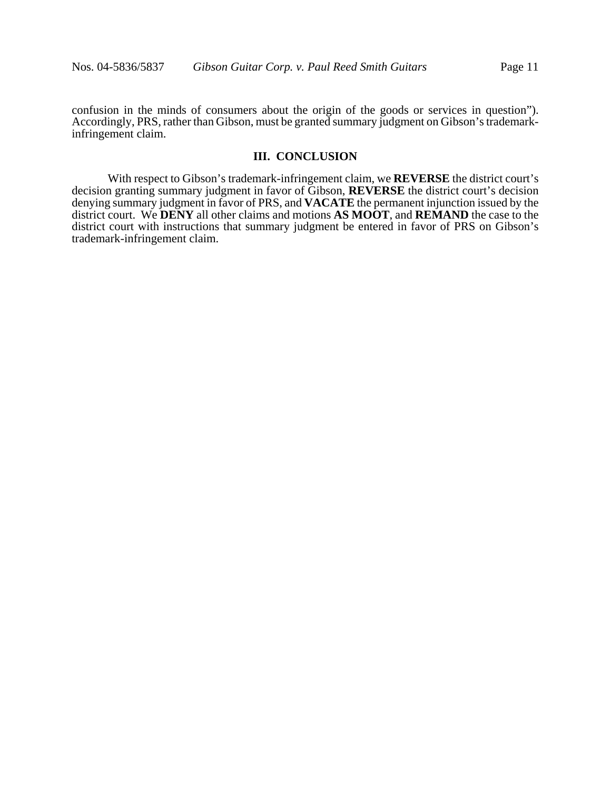confusion in the minds of consumers about the origin of the goods or services in question"). Accordingly, PRS, rather than Gibson, must be granted summary judgment on Gibson's trademarkinfringement claim.

# **III. CONCLUSION**

With respect to Gibson's trademark-infringement claim, we **REVERSE** the district court's decision granting summary judgment in favor of Gibson, **REVERSE** the district court's decision denying summary judgment in favor of PRS, and **VACATE** the permanent injunction issued by the district court. We **DENY** all other claims and motions **AS MOOT**, and **REMAND** the case to the district court with instructions that summary judgment be entered in favor of PRS on Gibson's trademark-infringement claim.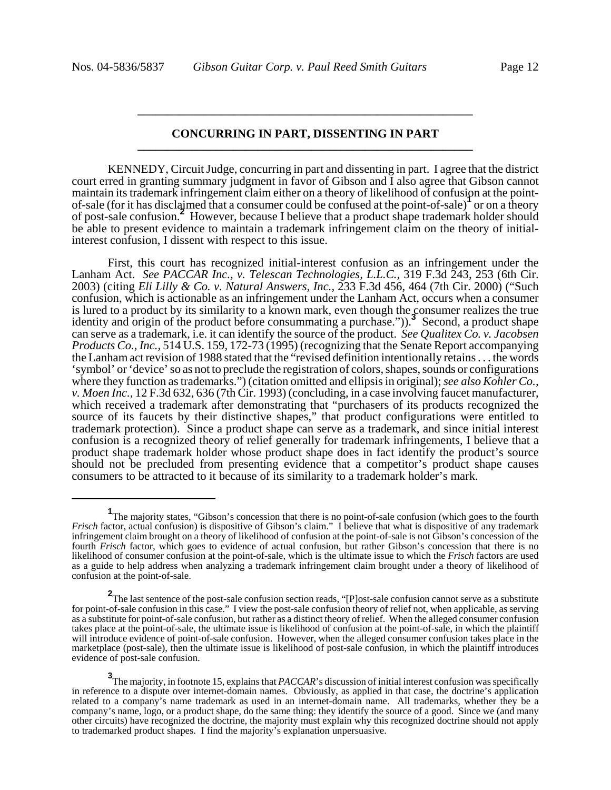### **CONCURRING IN PART, DISSENTING IN PART \_\_\_\_\_\_\_\_\_\_\_\_\_\_\_\_\_\_\_\_\_\_\_\_\_\_\_\_\_\_\_\_\_\_\_\_\_\_\_\_\_\_\_\_\_\_\_\_\_\_\_\_\_\_\_\_**

**\_\_\_\_\_\_\_\_\_\_\_\_\_\_\_\_\_\_\_\_\_\_\_\_\_\_\_\_\_\_\_\_\_\_\_\_\_\_\_\_\_\_\_\_\_\_\_\_\_\_\_\_\_\_\_\_**

KENNEDY, Circuit Judge, concurring in part and dissenting in part. I agree that the district court erred in granting summary judgment in favor of Gibson and I also agree that Gibson cannot maintain its trademark infringement claim either on a theory of likelihood of confusion at the pointof-sale (for it has disclaimed that a consumer could be confused at the point-of-sale)**<sup>1</sup>** or on a theory of post-sale confusion.<sup>2</sup> However, because I believe that a product shape trademark holder should be able to present evidence to maintain a trademark infringement claim on the theory of initialinterest confusion, I dissent with respect to this issue.

First, this court has recognized initial-interest confusion as an infringement under the Lanham Act. *See PACCAR Inc., v. Telescan Technologies, L.L.C.*, 319 F.3d 243, 253 (6th Cir. 2003) (citing *Eli Lilly & Co. v. Natural Answers, Inc.,* 233 F.3d 456, 464 (7th Cir. 2000) ("Such confusion, which is actionable as an infringement under the Lanham Act, occurs when a consumer is lured to a product by its similarity to a known mark, even though the consumer realizes the true identity and origin of the product before consummating a purchase.")).<sup>3</sup> Second, a product shape can serve as a trademark, i.e. it can identify the source of the product. *See Qualitex Co. v. Jacobsen Products Co., Inc.,* 514 U.S. 159, 172-73 (1995) (recognizing that the Senate Report accompanying the Lanham act revision of 1988 stated that the "revised definition intentionally retains . . . the words 'symbol' or 'device' so as not to preclude the registration of colors, shapes, sounds or configurations where they function as trademarks.") (citation omitted and ellipsis in original); *see also Kohler Co., v. Moen Inc.,* 12 F.3d 632, 636 (7th Cir. 1993) (concluding, in a case involving faucet manufacturer, which received a trademark after demonstrating that "purchasers of its products recognized the source of its faucets by their distinctive shapes," that product configurations were entitled to trademark protection). Since a product shape can serve as a trademark, and since initial interest confusion is a recognized theory of relief generally for trademark infringements, I believe that a product shape trademark holder whose product shape does in fact identify the product's source should not be precluded from presenting evidence that a competitor's product shape causes consumers to be attracted to it because of its similarity to a trademark holder's mark.

<sup>&</sup>lt;sup>1</sup>The majority states, "Gibson's concession that there is no point-of-sale confusion (which goes to the fourth *Frisch* factor, actual confusion) is dispositive of Gibson's claim." I believe that what is dispositive of any trademark infringement claim brought on a theory of likelihood of confusion at the point-of-sale is not Gibson's concession of the fourth *Frisch* factor, which goes to evidence of actual confusion, but rather Gibson's concession that there is no likelihood of consumer confusion at the point-of-sale, which is the ultimate issue to which the *Frisch* factors are used as a guide to help address when analyzing a trademark infringement claim brought under a theory of likelihood of confusion at the point-of-sale.

**<sup>2</sup>**The last sentence of the post-sale confusion section reads, "[P]ost-sale confusion cannot serve as a substitute for point-of-sale confusion in this case." I view the post-sale confusion theory of relief not, when applicable, as serving as a substitute for point-of-sale confusion, but rather as a distinct theory of relief. When the alleged consumer confusion takes place at the point-of-sale, the ultimate issue is likelihood of confusion at the point-of-sale, in which the plaintiff will introduce evidence of point-of-sale confusion. However, when the alleged consumer confusion takes place in the marketplace (post-sale), then the ultimate issue is likelihood of post-sale confusion, in which the plaintiff introduces evidence of post-sale confusion.

**<sup>3</sup>** The majority, in footnote 15, explains that *PACCAR*'s discussion of initial interest confusion was specifically in reference to a dispute over internet-domain names. Obviously, as applied in that case, the doctrine's application related to a company's name trademark as used in an internet-domain name. All trademarks, whether they be a company's name, logo, or a product shape, do the same thing: they identify the source of a good. Since we (and many other circuits) have recognized the doctrine, the majority must explain why this recognized doctrine should not apply to trademarked product shapes. I find the majority's explanation unpersuasive.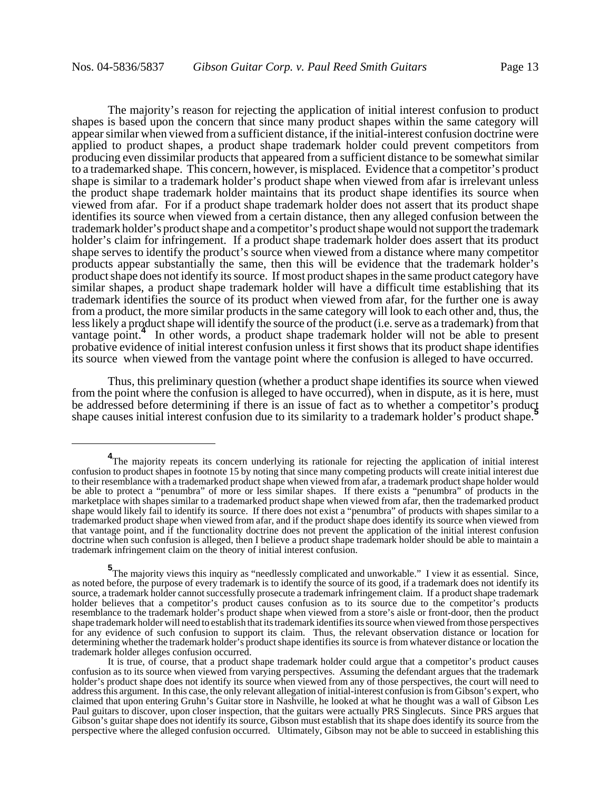The majority's reason for rejecting the application of initial interest confusion to product shapes is based upon the concern that since many product shapes within the same category will appear similar when viewed from a sufficient distance, if the initial-interest confusion doctrine were applied to product shapes, a product shape trademark holder could prevent competitors from producing even dissimilar products that appeared from a sufficient distance to be somewhat similar to a trademarked shape. This concern, however, is misplaced. Evidence that a competitor's product shape is similar to a trademark holder's product shape when viewed from afar is irrelevant unless the product shape trademark holder maintains that its product shape identifies its source when viewed from afar. For if a product shape trademark holder does not assert that its product shape identifies its source when viewed from a certain distance, then any alleged confusion between the trademark holder's product shape and a competitor's product shape would not support the trademark holder's claim for infringement. If a product shape trademark holder does assert that its product shape serves to identify the product's source when viewed from a distance where many competitor products appear substantially the same, then this will be evidence that the trademark holder's product shape does not identify its source. If most product shapes in the same product category have similar shapes, a product shape trademark holder will have a difficult time establishing that its trademark identifies the source of its product when viewed from afar, for the further one is away from a product, the more similar products in the same category will look to each other and, thus, the less likely a product shape will identify the source of the product (i.e. serve as a trademark) from that vantage point. In other words, a product shape trademark holder will not be able to present probative evidence of initial interest confusion unless it first shows that its product shape identifies its source when viewed from the vantage point where the confusion is alleged to have occurred.

Thus, this preliminary question (whether a product shape identifies its source when viewed from the point where the confusion is alleged to have occurred), when in dispute, as it is here, must be addressed before determining if there is an issue of fact as to whether a competitor's product shape causes initial interest confusion due to its similarity to a trademark holder's product shape.**<sup>5</sup>**

<sup>&</sup>lt;sup>4</sup>The majority repeats its concern underlying its rationale for rejecting the application of initial interest confusion to product shapes in footnote 15 by noting that since many competing products will create initial interest due to their resemblance with a trademarked product shape when viewed from afar, a trademark product shape holder would be able to protect a "penumbra" of more or less similar shapes. If there exists a "penumbra" of products in the marketplace with shapes similar to a trademarked product shape when viewed from afar, then the trademarked product shape would likely fail to identify its source. If there does not exist a "penumbra" of products with shapes similar to a trademarked product shape when viewed from afar, and if the product shape does identify its source when viewed from that vantage point, and if the functionality doctrine does not prevent the application of the initial interest confusion doctrine when such confusion is alleged, then I believe a product shape trademark holder should be able to maintain a trademark infringement claim on the theory of initial interest confusion.

**<sup>5</sup>**<br>The majority views this inquiry as "needlessly complicated and unworkable." I view it as essential. Since, as noted before, the purpose of every trademark is to identify the source of its good, if a trademark does not identify its source, a trademark holder cannot successfully prosecute a trademark infringement claim. If a product shape trademark holder believes that a competitor's product causes confusion as to its source due to the competitor's products resemblance to the trademark holder's product shape when viewed from a store's aisle or front-door, then the product shape trademark holder will need to establish that its trademark identifies its source when viewed from those perspectives for any evidence of such confusion to support its claim. Thus, the relevant observation distance or location for determining whether the trademark holder's product shape identifies its source is from whatever distance or location the trademark holder alleges confusion occurred.

It is true, of course, that a product shape trademark holder could argue that a competitor's product causes confusion as to its source when viewed from varying perspectives. Assuming the defendant argues that the trademark holder's product shape does not identify its source when viewed from any of those perspectives, the court will need to address this argument. In this case, the only relevant allegation of initial-interest confusion is from Gibson's expert, who claimed that upon entering Gruhn's Guitar store in Nashville, he looked at what he thought was a wall of Gibson Les Paul guitars to discover, upon closer inspection, that the guitars were actually PRS Singlecuts. Since PRS argues that Gibson's guitar shape does not identify its source, Gibson must establish that its shape does identify its source from the perspective where the alleged confusion occurred. Ultimately, Gibson may not be able to succeed in establishing this